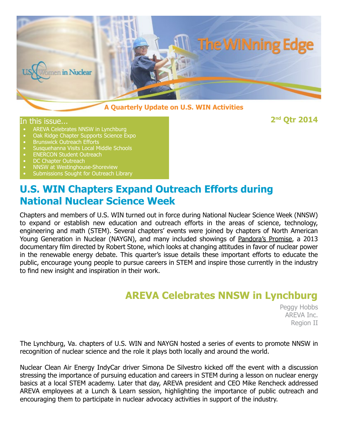

#### **A Quarterly Update on U.S. WIN Activities**

In this issue... **2nd Qtr 2014**

- 
- AREVA Celebrates NNSW in Lynchburg<br>• Oak Ridge Chapter Supports Science Expo<br>• Brunswick Outreach Efforts<br>• Susquehanna Visits Local Middle Schools<br>• ENERCON Student Outreach<br>• DC Chapter Outreach<br>• NNSW at Westinghouse-
- 
- Susquehanna Visits Local Middle Schools
- 
- 
- 
- 

### **U.S. WIN Chapters Expand Outreach Efforts during National Nuclear Science Week**

Chapters and members of U.S. WIN turned out in force during National Nuclear Science Week (NNSW) to expand or establish new education and outreach efforts in the areas of science, technology, engineering and math (STEM). Several chapters' events were joined by chapters of North American Young Generation in Nuclear (NAYGN), and many included showings of Pandora's Promise, a 2013 documentary film directed by Robert Stone, which looks at changing attitudes in favor of nuclear power in the renewable energy debate. This quarter's issue details these important efforts to educate the public, encourage young people to pursue careers in STEM and inspire those currently in the industry to find new insight and inspiration in their work.

### **AREVA Celebrates NNSW in Lynchburg**

Peggy Hobbs AREVA Inc. Region II

The Lynchburg, Va. chapters of U.S. WIN and NAYGN hosted a series of events to promote NNSW in recognition of nuclear science and the role it plays both locally and around the world.

Nuclear Clean Air Energy IndyCar driver Simona De Silvestro kicked off the event with a discussion stressing the importance of pursuing education and careers in STEM during a lesson on nuclear energy basics at a local STEM academy. Later that day, AREVA president and CEO Mike Rencheck addressed AREVA employees at a Lunch & Learn session, highlighting the importance of public outreach and encouraging them to participate in nuclear advocacy activities in support of the industry.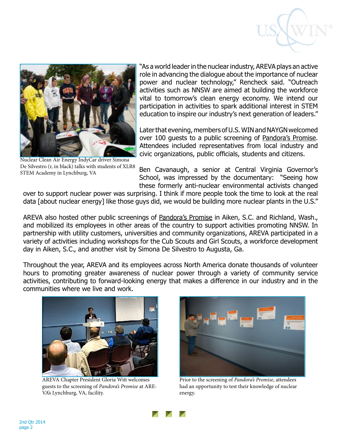



Nuclear Clean Air Energy IndyCar driver Simona De Silvestro (r, in black) talks with students of XLR8 STEM Academy in Lynchburg, VA

"As a world leader in the nuclear industry, AREVA plays an active role in advancing the dialogue about the importance of nuclear power and nuclear technology," Rencheck said. "Outreach activities such as NNSW are aimed at building the workforce vital to tomorrow's clean energy economy. We intend our participation in activities to spark additional interest in STEM education to inspire our industry's next generation of leaders."

Later that evening, members of U.S. WIN and NAYGN welcomed over 100 guests to a public screening of Pandora's Promise. Attendees included representatives from local industry and civic organizations, public officials, students and citizens.

Ben Cavanaugh, a senior at Central Virginia Governor's School, was impressed by the documentary: "Seeing how these formerly anti-nuclear environmental activists changed

over to support nuclear power was surprising. I think if more people took the time to look at the real data [about nuclear energy] like those guys did, we would be building more nuclear plants in the U.S."

AREVA also hosted other public screenings of Pandora's Promise in Aiken, S.C. and Richland, Wash., and mobilized its employees in other areas of the country to support activities promoting NNSW. In partnership with utility customers, universities and community organizations, AREVA participated in a variety of activities including workshops for the Cub Scouts and Girl Scouts, a workforce development day in Aiken, S.C., and another visit by Simona De Silvestro to Augusta, Ga.

Throughout the year, AREVA and its employees across North America donate thousands of volunteer hours to promoting greater awareness of nuclear power through a variety of community service activities, contributing to forward-looking energy that makes a difference in our industry and in the communities where we live and work.



AREVA Chapter President Gloria Witt welcomes guests to the screening of *Pandora's Promise* at ARE-VA's Lynchburg, VA, facility.



Prior to the screening of *Pandora's Promise*, attendees had an opportunity to test their knowledge of nuclear energy.

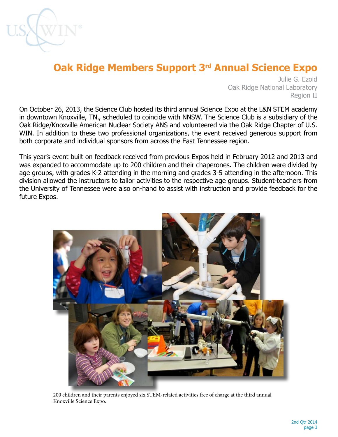

# **Oak Ridge Members Support 3rd Annual Science Expo**

Julie G. Ezold Oak Ridge National Laboratory Region II

On October 26, 2013, the Science Club hosted its third annual Science Expo at the L&N STEM academy in downtown Knoxville, TN., scheduled to coincide with NNSW. The Science Club is a subsidiary of the Oak Ridge/Knoxville American Nuclear Society ANS and volunteered via the Oak Ridge Chapter of U.S. WIN. In addition to these two professional organizations, the event received generous support from both corporate and individual sponsors from across the East Tennessee region.

This year's event built on feedback received from previous Expos held in February 2012 and 2013 and was expanded to accommodate up to 200 children and their chaperones. The children were divided by age groups, with grades K-2 attending in the morning and grades 3-5 attending in the afternoon. This division allowed the instructors to tailor activities to the respective age groups. Student-teachers from the University of Tennessee were also on-hand to assist with instruction and provide feedback for the future Expos.



200 children and their parents enjoyed six STEM-related activities free of charge at the third annual Knoxville Science Expo.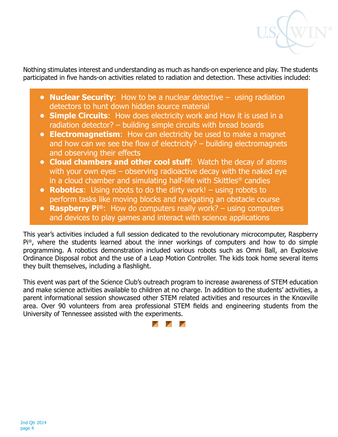

Nothing stimulates interest and understanding as much as hands-on experience and play. The students participated in five hands-on activities related to radiation and detection. These activities included:

- **• Nuclear Security**: How to be a nuclear detective using radiation detectors to hunt down hidden source material
- **• Simple Circuits**: How does electricity work and How it is used in a radiation detector? – building simple circuits with bread boards
- **• Electromagnetism**: How can electricity be used to make a magnet and how can we see the flow of electricity? – building electromagnets and observing their effects
- **• Cloud chambers and other cool stuff**: Watch the decay of atoms with your own eyes – observing radioactive decay with the naked eye in a cloud chamber and simulating half-life with Skittles® candies
- **• Robotics**: Using robots to do the dirty work! using robots to perform tasks like moving blocks and navigating an obstacle course
- **• Raspberry Pi®**: How do computers really work? using computers and devices to play games and interact with science applications

This year's activities included a full session dedicated to the revolutionary microcomputer, Raspberry Pi®, where the students learned about the inner workings of computers and how to do simple programming. A robotics demonstration included various robots such as Omni Ball, an Explosive Ordinance Disposal robot and the use of a Leap Motion Controller. The kids took home several items they built themselves, including a flashlight.

This event was part of the Science Club's outreach program to increase awareness of STEM education and make science activities available to children at no charge. In addition to the students' activities, a parent informational session showcased other STEM related activities and resources in the Knoxville area. Over 90 volunteers from area professional STEM fields and engineering students from the University of Tennessee assisted with the experiments.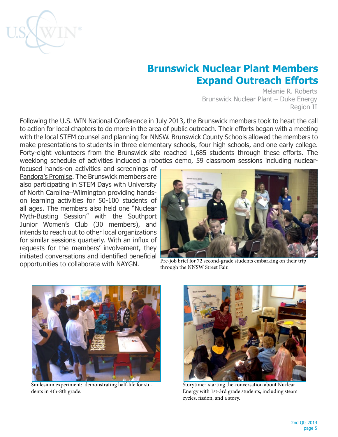

# **Brunswick Nuclear Plant Members Expand Outreach Efforts**

Melanie R. Roberts Brunswick Nuclear Plant – Duke Energy Region II

Following the U.S. WIN National Conference in July 2013, the Brunswick members took to heart the call to action for local chapters to do more in the area of public outreach. Their efforts began with a meeting with the local STEM counsel and planning for NNSW. Brunswick County Schools allowed the members to make presentations to students in three elementary schools, four high schools, and one early college. Forty-eight volunteers from the Brunswick site reached 1,685 students through these efforts. The weeklong schedule of activities included a robotics demo, 59 classroom sessions including nuclear-

focused hands-on activities and screenings of Pandora's Promise. The Brunswick members are also participating in STEM Days with University of North Carolina–Wilmington providing handson learning activities for 50-100 students of all ages. The members also held one "Nuclear Myth-Busting Session" with the Southport Junior Women's Club (30 members), and intends to reach out to other local organizations for similar sessions quarterly. With an influx of requests for the members' involvement, they initiated conversations and identified beneficial opportunities to collaborate with NAYGN.



Pre-job brief for 72 second-grade students embarking on their trip through the NNSW Street Fair.



Smilesium experiment: demonstrating half-life for students in 4th-8th grade.



Storytime: starting the conversation about Nuclear Energy with 1st-3rd grade students, including steam cycles, fission, and a story.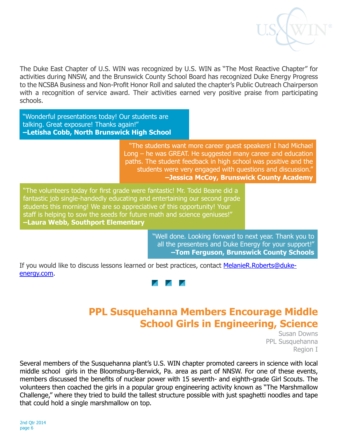

The Duke East Chapter of U.S. WIN was recognized by U.S. WIN as "The Most Reactive Chapter" for activities during NNSW, and the Brunswick County School Board has recognized Duke Energy Progress to the NCSBA Business and Non-Profit Honor Roll and saluted the chapter's Public Outreach Chairperson with a recognition of service award. Their activities earned very positive praise from participating schools.

"Wonderful presentations today! Our students are talking. Great exposure! Thanks again!" **–Letisha Cobb, North Brunswick High School**

> "The students want more career guest speakers! I had Michael Long – he was GREAT. He suggested many career and education paths. The student feedback in high school was positive and the students were very engaged with questions and discussion." **–Jessica McCoy, Brunswick County Academy**

"The volunteers today for first grade were fantastic! Mr. Todd Beane did a fantastic job single-handedly educating and entertaining our second grade students this morning! We are so appreciative of this opportunity! Your staff is helping to sow the seeds for future math and science geniuses!" **–Laura Webb, Southport Elementary**

> "Well done. Looking forward to next year. Thank you to all the presenters and Duke Energy for your support!" **–Tom Ferguson, Brunswick County Schools**

If you would like to discuss lessons learned or best practices, contact [MelanieR.Roberts@duke](mailto:MelanieR.Roberts@duke-energy.com)[energy.com](mailto:MelanieR.Roberts@duke-energy.com).



### **PPL Susquehanna Members Encourage Middle School Girls in Engineering, Science**

Susan Downs PPL Susquehanna Region I

Several members of the Susquehanna plant's U.S. WIN chapter promoted careers in science with local middle school girls in the Bloomsburg-Berwick, Pa. area as part of NNSW. For one of these events, members discussed the benefits of nuclear power with 15 seventh- and eighth-grade Girl Scouts. The volunteers then coached the girls in a popular group engineering activity known as "The Marshmallow Challenge," where they tried to build the tallest structure possible with just spaghetti noodles and tape that could hold a single marshmallow on top.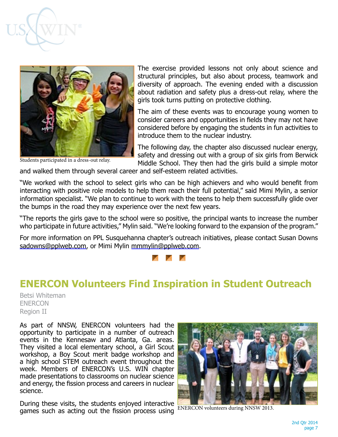



Students participated in a dress-out relay.

The exercise provided lessons not only about science and structural principles, but also about process, teamwork and diversity of approach. The evening ended with a discussion about radiation and safety plus a dress-out relay, where the girls took turns putting on protective clothing.

The aim of these events was to encourage young women to consider careers and opportunities in fields they may not have considered before by engaging the students in fun activities to introduce them to the nuclear industry.

The following day, the chapter also discussed nuclear energy, safety and dressing out with a group of six girls from Berwick Middle School. They then had the girls build a simple motor

and walked them through several career and self-esteem related activities.

"We worked with the school to select girls who can be high achievers and who would benefit from interacting with positive role models to help them reach their full potential," said Mimi Mylin, a senior information specialist. "We plan to continue to work with the teens to help them successfully glide over the bumps in the road they may experience over the next few years.

"The reports the girls gave to the school were so positive, the principal wants to increase the number who participate in future activities," Mylin said. "We're looking forward to the expansion of the program."

For more information on PPL Susquehanna chapter's outreach initiatives, please contact Susan Downs [sadowns@pplweb.com](mailto:sadowns@pplweb.com), or Mimi Mylin [mmmylin@pplweb.com](mailto:mmmylin@pplweb.com).



#### **ENERCON Volunteers Find Inspiration in Student Outreach**

Betsi Whiteman ENERCON Region II

As part of NNSW, ENERCON volunteers had the opportunity to participate in a number of outreach events in the Kennesaw and Atlanta, Ga. areas. They visited a local elementary school, a Girl Scout workshop, a Boy Scout merit badge workshop and a high school STEM outreach event throughout the week. Members of ENERCON's U.S. WIN chapter made presentations to classrooms on nuclear science and energy, the fission process and careers in nuclear science.

During these visits, the students enjoyed interactive games such as acting out the fission process using



ENERCON volunteers during NNSW 2013.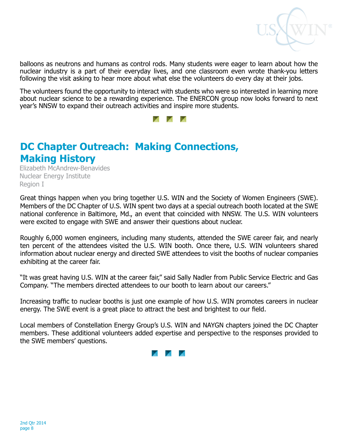

balloons as neutrons and humans as control rods. Many students were eager to learn about how the nuclear industry is a part of their everyday lives, and one classroom even wrote thank-you letters following the visit asking to hear more about what else the volunteers do every day at their jobs.

The volunteers found the opportunity to interact with students who were so interested in learning more about nuclear science to be a rewarding experience. The ENERCON group now looks forward to next year's NNSW to expand their outreach activities and inspire more students.



# **DC Chapter Outreach: Making Connections, Making History**

Elizabeth McAndrew-Benavides Nuclear Energy Institute Region I

Great things happen when you bring together U.S. WIN and the Society of Women Engineers (SWE). Members of the DC Chapter of U.S. WIN spent two days at a special outreach booth located at the SWE national conference in Baltimore, Md., an event that coincided with NNSW. The U.S. WIN volunteers were excited to engage with SWE and answer their questions about nuclear.

Roughly 6,000 women engineers, including many students, attended the SWE career fair, and nearly ten percent of the attendees visited the U.S. WIN booth. Once there, U.S. WIN volunteers shared information about nuclear energy and directed SWE attendees to visit the booths of nuclear companies exhibiting at the career fair.

"It was great having U.S. WIN at the career fair," said Sally Nadler from Public Service Electric and Gas Company. "The members directed attendees to our booth to learn about our careers."

Increasing traffic to nuclear booths is just one example of how U.S. WIN promotes careers in nuclear energy. The SWE event is a great place to attract the best and brightest to our field.

Local members of Constellation Energy Group's U.S. WIN and NAYGN chapters joined the DC Chapter members. These additional volunteers added expertise and perspective to the responses provided to the SWE members' questions.